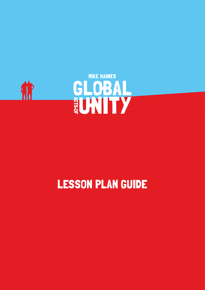

# LESSON PLAN GUIDE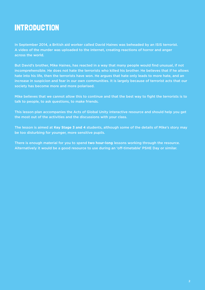## **INTRODUCTION**

In September 2014, a British aid worker called David Haines was beheaded by an ISIS terrorist. A video of the murder was uploaded to the internet, creating reactions of horror and anger across the world.

But David's brother, Mike Haines, has reacted in a way that many people would find unusual, if not incomprehensible. He does not hate the terrorists who killed his brother. He believes that if he allows hate into his life, then the terrorists have won. He argues that hate only leads to more hate, and an increase in suspicion and fear in our own communities. It is largely because of terrorist acts that our society has become more and more polarised.

Mike believes that we cannot allow this to continue and that the best way to fight the terrorists is to talk to people, to ask questions, to make friends.

This lesson plan accompanies the Acts of Global Unity interactive resource and should help you get the most out of the activities and the discussions with your class.

The lesson is aimed at **Key Stage 3 and 4** students, although some of the details of Mike's story may be too disturbing for younger, more sensitive pupils.

There is enough material for you to spend **two hour-long** lessons working through the resource. Alternatively it would be a good resource to use during an 'off-timetable' PSHE Day or similar.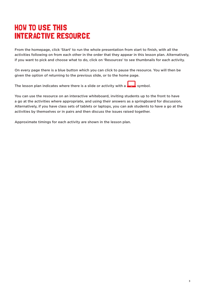## HOW TO USE THIS INTERACTIVE RESOURCE

From the homepage, click 'Start' to run the whole presentation from start to finish, with all the activities following on from each other in the order that they appear in this lesson plan. Alternatively, if you want to pick and choose what to do, click on 'Resources' to see thumbnails for each activity.

On every page there is a blue button which you can click to pause the resource. You will then be given the option of returning to the previous slide, or to the home page.

The lesson plan indicates where there is a slide or activity with a symbol.

You can use the resource on an interactive whiteboard, inviting students up to the front to have a go at the activities where appropriate, and using their answers as a springboard for discussion. Alternatively, if you have class sets of tablets or laptops, you can ask students to have a go at the activities by themselves or in pairs and then discuss the issues raised together.

Approximate timings for each activity are shown in the lesson plan.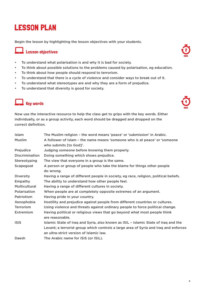## LESSON PLAN

Begin the lesson by highlighting the lesson objectives with your students.

#### $\overline{\phantom{a}}$  Lesson objectives

- To understand what polarisation is and why it is bad for society.
- To think about possible solutions to the problems caused by polarisation, eg education.
- To think about how people should respond to terrorism.
- To understand that there is a cycle of violence and consider ways to break out of it.
- To understand what stereotypes are and why they are a form of prejudice.
- To understand that diversity is good for society.

## **Key words 1.4**

Now use the interactive resource to help the class get to grips with the key words. Either individually, or as a group activity, each word should be dragged and dropped on the correct definition.

| <b>Islam</b>          | The Muslim religion - the word means 'peace' or 'submission' in Arabic.                              |
|-----------------------|------------------------------------------------------------------------------------------------------|
| <b>Muslim</b>         | A follower of Islam - the name means 'someone who is at peace' or 'someone<br>who submits [to God]'. |
| Prejudice             | Judging someone before knowing them properly.                                                        |
| <b>Discrimination</b> | Doing something which shows prejudice.                                                               |
| Stereotyping          | The view that everyone in a group is the same.                                                       |
| Scapegoat             | A person or group of people who take the blame for things other people<br>do wrong.                  |
| <b>Diversity</b>      | Having a range of different people in society, eg race, religion, political beliefs.                 |
| Empathy               | The ability to understand how other people feel.                                                     |
| <b>Multicultural</b>  | Having a range of different cultures in society.                                                     |
| Polarisation          | When people are at completely opposite extremes of an argument.                                      |
| Patriotism            | Having pride in your country.                                                                        |
| Xenophobia            | Hostility and prejudice against people from different countries or cultures.                         |
| <b>Terrorism</b>      | Using violence and threats against ordinary people to force political change.                        |
| <b>Extremism</b>      | Having political or religious views that go beyond what most people think<br>are reasonable.         |
| <b>ISIS</b>           | Islamic State of Iraq and Syria, also known as ISIL - Islamic State of Iraq and the                  |
|                       | Levant; a terrorist group which controls a large area of Syria and Iraq and enforces                 |
|                       | an ultra-strict version of Islamic law.                                                              |
| Daesh                 | The Arabic name for ISIS (or ISIL).                                                                  |

MINS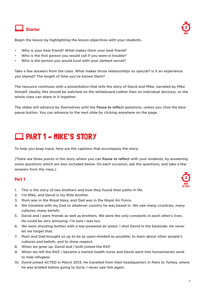



Begin the lesson by highlighting the lesson objectives with your students.

- Who is your best friend? What makes them your best friend?
- Who is the first person you would call if you were in trouble?
- Who is the person you would trust with your darkest secret?

Take a few answers from the class. What makes those relationships so special? Is it an experience you shared? The length of time you've known them?

The resource continues with a presentation that tells the story of David and Mike, narrated by Mike himself. Ideally, this should be watched on the whiteboard (rather than on individual devices), so the whole class can share in it together.

The slides will advance by themselves until the **Pause to reflect** questions, unless you click the blue pause button. You can advance to the next slide by clicking anywhere on the page.

## PART 1 – MIKE'S STORY

To help you keep track, here are the captions that accompany the story:

(There are three points in the story where you can **Pause to reflect** with your students, by answering some questions which are also included below. On each occasion, ask the questions, and take a few answers from the class.)

### Part 1  $\frac{3}{3}$

- 1. This is the story of two brothers and how they found their paths in life.
- 2. I'm Mike, and David is my little brother.
- 3. Mum was in the Royal Navy, and Dad was in the Royal Air Force.
- 4. We travelled with my Dad to whatever country he was based in. We saw many countries, many cultures, many beliefs.
- 5. David and I were friends as well as brothers. We were the only constants in each other's lives. He could be very annoying. I'm sure I was too.
- 6. We were shooting bottles with a low-powered air pistol. I shot David in the backside. He never let me forget that.
- 7. Mum and Dad brought us up to be as open-minded as possible, to learn about other people's cultures and beliefs, and to show respect.
- 8. When we grew up, David and I both joined the RAF.
- 9. When we left the RAF, I became a mental health nurse and David went into humanitarian work to help refugees.
- 10. David joined ACTED in March 2013. He travelled from their headquarters in Paris to Turkey, where he was briefed before going to Syria. I never saw him again.

MINS 12 SECS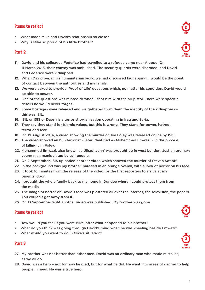#### Pause to reflect

- What made Mike and David's relationship so close?
- Why is Mike so proud of his little brother?

#### Part 2

- 11. David and his colleague Federico had travelled to a refugee camp near Aleppo. On 11 March 2013, their convoy was ambushed. The security guards were disarmed, and David and Federico were kidnapped.
- 12. When David began his humanitarian work, we had discussed kidnapping. I would be the point of contact between the authorities and my family.
- 13. We were asked to provide 'Proof of Life' questions which, no matter his condition, David would be able to answer.
- 14. One of the questions was related to when I shot him with the air pistol. There were specific details he would never forget.
- 15. Some hostages were released and we gathered from them the identity of the kidnappers this was ISIL.
- 16. ISIL or ISIS or Daesh is a terrorist organisation operating in Iraq and Syria.
- 17. They say they stand for Islamic values, but this is wrong. They stand for power, hatred, terror and fear.
- 18. On 19 August 2014, a video showing the murder of Jim Foley was released online by ISIS.
- 19. The video showed an ISIS terrorist later identified as Mohammed Emwazi in the process of killing Jim Foley.
- 20. Mohammed Emwazi, also known as 'Jihadi John' was brought up in west London. Just an ordinary young man manipulated by evil people.
- 21. On 2 September, ISIS uploaded another video which showed the murder of Steven Sotloff.
- 22. In the background was my brother, paraded in an orange overall, with a look of horror on his face.
- 23. It took 16 minutes from the release of the video for the first reporters to arrive at my parents' door.
- 24. I brought the whole family back to my home in Dundee where I could protect them from the media.
- 25. The image of horror on David's face was plastered all over the internet, the television, the papers. You couldn't get away from it.
- 26. On 13 September 2014 another video was published. My brother was gone.

## Pause to reflect the contract of the contract of the contract of the contract of the contract of the contract of the contract of the contract of the contract of the contract of the contract of the contract of the contract

- How would you feel if you were Mike, after what happened to his brother?
- What do you think was going through David's mind when he was kneeling beside Emwazi?
- What would you want to do in Mike's situation?

#### Part 3

- 27. My brother was not better than other men. David was an ordinary man who made mistakes, as we all do.
- 28. David was a hero not for how he died, but for what he did. He went into areas of danger to help people in need. He was a true hero.



5 MINS 33 SECS



3 MINS 33 SECS



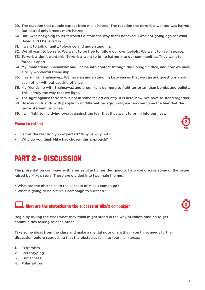- 29. The reaction that people expect from me is hatred. The reaction the terrorists wanted was hatred. But hatred only breeds more hatred.
- 30. But I was not going to let terrorists dictate the way that I behaved. I was not going against what David and I believed in.
- 31. I want to talk of unity, tolerance and understanding.
- 32. We all want to be safe. We want to be free to follow our own beliefs. We want to live in peace.
- 33. Terrorists don't want this. Terrorists want to bring hatred into our communities. They want to force us apart.
- 34. My Imam friend Shahnawaz and I came into contact through the Foreign Office, and now we have a truly wonderful friendship.
- 35. I learn from Shahnawaz. We have an understanding between us that we can ask questions about each other without causing offence.
- 36. My friendship with Shahnawaz and ones like it do more to fight terrorism than bombs and bullets. This is truly the way that we fight.
- 37. The fight against terrorism is not in some far-off country. It is here, now. We have to stand together.
- 38. By making friends with people from different backgrounds, we can overcome the fear that the terrorists want us to feel.
- 39. I will fight to my dying breath against the fear that they want to bring into our lives.

## Pause to reflect **2**

- Is this the reaction you expected? Why or why not?
- Why do you think Mike has chosen this approach?

## PART 2 – DISCUSSION

The presentation continues with a series of activities designed to help you discuss some of the issues raised by Mike's story. These are divided into two main themes:

- What are the obstacles to the success of Mike's campaign?
- What is going to help Mike's campaign to succeed?

## $\blacksquare$  What are the obstacles to the success of Mike's campaign?

Begin by asking the class what they think might stand in the way of Mike's mission to get communities talking to each other.

Take some ideas from the class and make a mental note of anything you think needs further discussion before suggesting that the obstacles fall into four main areas:

- 1. Extremism
- 2. Stereotyping
- 3. 'Britishness'
- 4. Polarisation





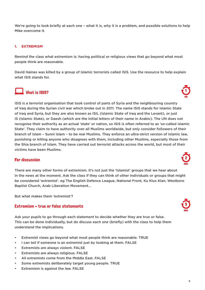We're going to look briefly at each one - what it is, why it is a problem, and possible solutions to help Mike overcome it.

#### **1. EXTREMISM**

Remind the class what extremism is: having political or religious views that go beyond what most people think are reasonable.

David Haines was killed by a group of Islamic terrorists called ISIS. Use the resource to help explain what ISIS stands for.

## $\Box$  What is ISIS?

ISIS is a terrorist organisation that took control of parts of Syria and the neighbouring country of Iraq during the Syrian civil war which broke out in 2011. The name ISIS stands for Islamic State of Iraq and Syria, but they are also known as ISIL (Islamic State of Iraq and the Levant), or just IS (Islamic State), or Daesh (which are the initial letters of their name in Arabic). The UN does not recognise their authority as an actual 'state' or nation, so ISIS is often referred to as 'so-called Islamic State'. They claim to have authority over all Muslims worldwide, but only consider followers of their branch of Islam – Sunni Islam – to be real Muslims. They enforce an ultra-strict version of Islamic law, punishing or killing anyone who disagrees with them, including other Muslims, especially those from the Shia branch of Islam. They have carried out terrorist attacks across the world, but most of their victims have been Muslims.

## For discussion  $\mathbb{C}^2$

There are many other forms of extremism. It's not just the 'Islamist' groups that we hear about in the news at the moment. Ask the class if they can think of other individuals or groups that might be considered 'extremist'. eg The English Defence League, National Front, Ku Klux Klan, Westboro Baptist Church, Arab Liberation Movement…

But what makes them 'extremist'?

#### Extremism – true or false statements

Ask your pupils to go through each statement to decide whether they are true or false. This can be done individually, but do discuss each one (briefly) with the class to help them understand the implications.

- Extremist views go beyond what most people think are reasonable. TRUE
- I can tell if someone is an extremist just by looking at them. FALSE
- Extremists are always violent. FALSE
- Extremists are always religious. FALSE
- All extremists come from the Middle East. FALSE
- Some extremists deliberately target young people. TRUE
- Extremism is against the law. FALSE





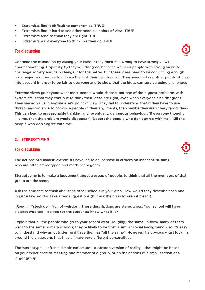- Extremists find it difficult to compromise. TRUE
- Extremists find it hard to see other people's points of view. TRUE
- Extremists tend to think they are right. TRUE
- Extremists want everyone to think like they do. TRUE

## For discussion  $\mathbb{C}^3$

Continue the discussion by asking your class if they think it is wrong to have strong views about something. Hopefully (!) they will disagree, because we need people with strong views to challenge society and help change it for the better. But these ideas need to be convincing enough for a majority of people to choose them of their own free will. They need to take other points of view into account in order to be fair to everyone and to show that the ideas can survive being challenged.

Extreme views go beyond what most people would choose, but one of the biggest problems with extremists is that they continue to think their ideas are right, even when everyone else disagrees. They see no value in anyone else's point of view. They fail to understand that if they have to use threats and violence to convince people of their arguments, then maybe they aren't very good ideas. This can lead to unreasonable thinking and, eventually, dangerous behaviour: 'If everyone thought like me, then the problem would disappear', 'Deport the people who don't agree with me', 'Kill the people who don't agree with me'.

#### **2. STEREOTYPING**

## For discussion  $\sqrt{5}$

The actions of 'Islamist' extremists have led to an increase in attacks on innocent Muslims who are often stereotyped and made scapegoats.

Stereotyping is to make a judgement about a group of people, to think that all the members of that group are the same.

Ask the students to think about the other schools in your area. How would they describe each one in just a few words? Take a few suggestions (but ask the class to keep it clean!).

"Rough", "stuck up", "full of weirdos". These descriptions are stereotypes. Your school will have a stereotype too – do you (or the students) know what it is?

Explain that all the people who go to your school wear (roughly) the same uniform, many of them went to the same primary schools, they're likely to be from a similar social background – so it's easy to understand why an outsider might see them as "all the same". However, it's obvious – just looking around the classroom, that they all have very different personalities.

The 'stereotype' is often a simple caricature – a cartoon version of reality – that might be based on your experience of meeting one member of a group, or on the actions of a small section of a larger group.



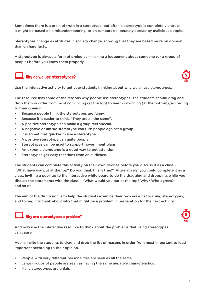Sometimes there is a grain of truth in a stereotype, but often a stereotype is completely untrue. It might be based on a misunderstanding, or on rumours deliberately spread by malicious people.

Stereotypes change as attitudes in society change, showing that they are based more on opinion than on hard facts.

A stereotype is always a form of prejudice – making a judgement about someone (or a group of people) before you know them properly.



### Why do we use stereotypes?



Use the interactive activity to get your students thinking about why we all use stereotypes.

The resource lists some of the reasons why people use stereotypes. The students should drag and drop them in order from most convincing (at the top) to least convincing (at the bottom), according to their opinion.

- Because people think the stereotypes are funny.
- Because it is easier to think, "They are all the same".
- A positive stereotype can make a group feel special.
- A negative or untrue stereotype can turn people against a group.
- It is sometimes quicker to use a stereotype.
- A positive stereotype can unite people.
- Stereotypes can be used to support government plans.
- An extreme stereotype is a good way to get attention.
- Stereotypes get easy reactions from an audience.

The students can complete this activity on their own devices before you discuss it as a class – "What have you put at the top? Do you think this is true?" Alternatively, you could complete it as a class, inviting a pupil up to the interactive white board to do the dragging and dropping, while you discuss the statements with the class – "What would you put at the top? Why? Who agrees?" and so on.

The aim of the discussion is to help the students examine their own reasons for using stereotypes, and to begin to think about why that might be a problem in preparation for the next activity.

#### $\blacksquare$  Why are stereotypes a problem?



And now use the interactive resource to think about the problems that using stereotypes can cause.

Again, invite the students to drag and drop the list of reasons in order from most important to least important according to their opinion.

- People with very different personalities are seen as all the same.
- Large groups of people are seen as having the same negative characteristics.
- Many stereotypes are unfair.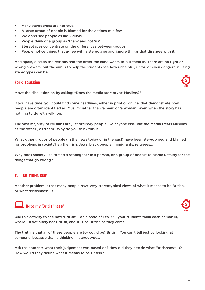- Many stereotypes are not true.
- A large group of people is blamed for the actions of a few.
- We don't see people as individuals.
- People think of a group as 'them' and not 'us'.
- Stereotypes concentrate on the differences between groups.
- People notice things that agree with a stereotype and ignore things that disagree with it.

And again, discuss the reasons and the order the class wants to put them in. There are no right or wrong answers, but the aim is to help the students see how unhelpful, unfair or even dangerous using stereotypes can be.

## For discussion  $\sqrt{5}$



Move the discussion on by asking: "Does the media stereotype Muslims?"

If you have time, you could find some headlines, either in print or online, that demonstrate how people are often identified as 'Muslim' rather than 'a man' or 'a woman', even when the story has nothing to do with religion.

The vast majority of Muslims are just ordinary people like anyone else, but the media treats Muslims as the 'other', as 'them'. Why do you think this is?

What other groups of people (in the news today or in the past) have been stereotyped and blamed for problems in society? eg the Irish, Jews, black people, immigrants, refugees...

Why does society like to find a scapegoat? ie a person, or a group of people to blame unfairly for the things that go wrong?

#### **3. 'BRITISHNESS'**

Another problem is that many people have very stereotypical views of what it means to be British, or what 'Britishness' is.

## Rate my 'Britishness'



Use this activity to see how 'British' – on a scale of 1 to 10 – your students think each person is, where  $1 =$  definitely not British, and  $10 =$  as British as they come.

The truth is that all of these people are (or could be) British. You can't tell just by looking at someone, because that is thinking in stereotypes.

Ask the students what their judgement was based on? How did they decide what 'Britishness' is? How would they define what it means to be British?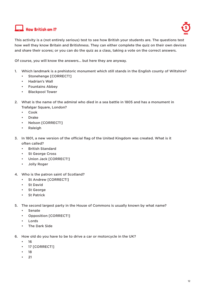### $\overline{\mathsf{I}}$  How British am I?



This activity is a (not entirely serious) test to see how British your students are. The questions test how well they know Britain and Britishness. They can either complete the quiz on their own devices and share their scores; or you can do the quiz as a class, taking a vote on the correct answers.

Of course, you will know the answers... but here they are anyway.

- 1. Which landmark is a prehistoric monument which still stands in the English county of Wiltshire?
	- Stonehenge [CORRECT!]
	- Hadrian's Wall
	- Fountains Abbey
	- Blackpool Tower
- 2. What is the name of the admiral who died in a sea battle in 1805 and has a monument in Trafalgar Square, London?
	- Cook
	- Drake
	- Nelson [CORRECT!]
	- Raleigh
- 3. In 1801, a new version of the official flag of the United Kingdom was created. What is it often called?
	- British Standard
	- St George Cross
	- Union Jack [CORRECT!]
	- Jolly Roger
- 4. Who is the patron saint of Scotland?
	- St Andrew [CORRECT!]
	- St David
	- St George
	- St Patrick
- 5. The second largest party in the House of Commons is usually known by what name?
	- Senate
	- Opposition [CORRECT!]
	- Lords
	- The Dark Side
- 6. How old do you have to be to drive a car or motorcycle in the UK?
	- 16
	- 17 [CORRECT!]
	- 18
	- 21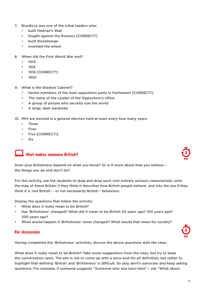- 7. Boudicca was one of the tribal leaders who:
	- built Hadrian's Wall
	- fought against the Romans [CORRECT!]
	- built Stonehenge
	- invented the wheel
- 8. When did the First World War end?
	- 1914
	- 1916
	- 1918 [CORRECT!]
	- 1920
- 9. What is the Shadow Cabinet?
	- Senior members of the main opposition party in Parliament [CORRECT!]
	- The name of the Leader of the Opposition's office
	- A group of people who secretly rule the world
	- A large, dark wardrobe
- 10. MPs are elected in a general election held at least every how many years:
	- Three
	- Four
	- Five [CORRECT!]
	- **Six**

#### $\blacksquare$  What makes someone British?

Does your Britishness depend on what you know? Or is it more about how you behave – the things you do and don't do?

For this activity, ask the students to drag and drop each (not entirely serious) characteristic onto the map of Great Britain if they think it describes how British people behave, and into the sea if they think it is 'not British' – or not necessarily British – behaviour.

Display the questions that follow the activity:

- What does it really mean to be British?
- Has 'Britishness' changed? What did it mean to be British 50 years ago? 100 years ago? 200 years ago?
- What would happen if 'Britishness' never changed? What would that mean for society?

## For discussion  $\sqrt{5}$

Having completed the 'Britishness' activities, discuss the above questions with the class.

What does it really mean to be British? Take some suggestions from the class, but try to keep the conversation open. The aim is not to come up with a once-and-for-all definition, but rather to highlight that defining 'British' and 'Britishness' is difficult. So play devil's advocate and keep asking questions. For example, if someone suggests "Someone who was born here" – ask "What about



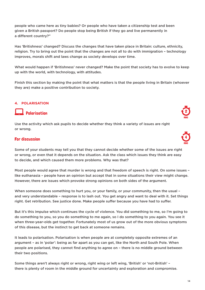people who came here as tiny babies? Or people who have taken a citizenship test and been given a British passport? Do people stop being British if they go and live permanently in a different country?"

Has 'Britishness' changed? Discuss the changes that have taken place in Britain: culture, ethnicity, religion. Try to bring out the point that the changes are not all to do with immigration – technology improves, morals shift and laws change as society develops over time.

What would happen if 'Britishness' never changed? Make the point that society has to evolve to keep up with the world, with technology, with attitudes.

Finish this section by making the point that what matters is that the people living in Britain (whoever they are) make a positive contribution to society.

#### **4. POLARISATION**

#### Polarisation <sup>2</sup>

Use the activity which ask pupils to decide whether they think a variety of issues are right or wrong.

## For discussion  $\mathcal{A}$

Some of your students may tell you that they cannot decide whether some of the issues are right or wrong, or even that it depends on the situation. Ask the class which issues they think are easy to decide, and which caused them more problems. Why was that?

Most people would agree that murder is wrong and that freedom of speech is right. On some issues – like euthanasia – people have an opinion but accept that in some situations their view might change. However, there are issues which provoke strong opinions on both sides of the argument.

When someone does something to hurt you, or your family, or your community, then the usual – and very understandable – response is to lash out. You get angry and want to deal with it. Set things right. Get retribution. See justice done. Make people suffer because you have had to suffer.

But it's this impulse which continues the cycle of violence. You did something to me, so I'm going to do something to you, so you do something to me again, so I do something to you again. You see it when three-year-olds get together. Fortunately most of us grow out of the more obvious symptoms of this disease, but the instinct to get back at someone remains.

It leads to polarisation. Polarisation is when people are at completely opposite extremes of an argument – as in 'polar': being as far apart as you can get, like the North and South Pole. When people are polarised, they cannot find anything to agree on – there is no middle ground between their two positions.

Some things aren't always right or wrong, right wing or left wing, 'British' or 'not-British' – there is plenty of room in the middle ground for uncertainty and exploration and compromise.



| MIN<br>s |
|----------|

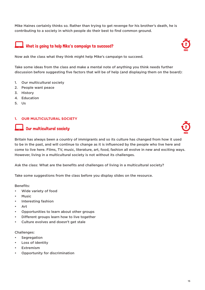Mike Haines certainly thinks so. Rather than trying to get revenge for his brother's death, he is contributing to a society in which people do their best to find common ground.

## What is going to help Mike's campaign to succeed?

Now ask the class what they think might help Mike's campaign to succeed.

Take some ideas from the class and make a mental note of anything you think needs further discussion before suggesting five factors that will be of help (and displaying them on the board):

- 1. Our multicultural society
- 2. People want peace
- 3. History
- 4. Education
- 5. Us

#### **1. OUR MULTICULTURAL SOCIETY**

#### $\blacksquare$  Our multicultural societv

Britain has always been a country of immigrants and so its culture has changed from how it used to be in the past, and will continue to change as it is influenced by the people who live here and come to live here. Films, TV, music, literature, art, food, fashion all evolve in new and exciting ways. However, living in a multicultural society is not without its challenges.

Ask the class: What are the benefits and challenges of living in a multicultural society?

Take some suggestions from the class before you display slides on the resource.

Benefits:

- Wide variety of food
- **Music**
- Interesting fashion
- Art
- Opportunities to learn about other groups
- Different groups learn how to live together
- Culture evolves and doesn't get stale

Challenges:

- **Segregation**
- Loss of identity
- **Extremism**
- Opportunity for discrimination





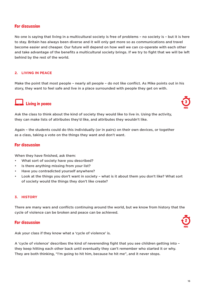#### For discussion

No one is saying that living in a multicultural society is free of problems – no society is – but it is here to stay. Britain has always been diverse and it will only get more so as communications and travel become easier and cheaper. Our future will depend on how well we can co-operate with each other and take advantage of the benefits a multicultural society brings. If we try to fight that we will be left behind by the rest of the world.

#### **2. LIVING IN PEACE**

Make the point that most people – nearly all people – do not like conflict. As Mike points out in his story, they want to feel safe and live in a place surrounded with people they get on with.

#### $\blacksquare$  Living in peace

Ask the class to think about the kind of society they would like to live in. Using the activity, they can make lists of attributes they'd like, and attributes they wouldn't like.

Again – the students could do this individually (or in pairs) on their own devices, or together as a class, taking a vote on the things they want and don't want.

#### For discussion

When they have finished, ask them:

- What sort of society have you described?
- Is there anything missing from your list?
- Have you contradicted yourself anywhere?
- Look at the things you don't want in society what is it about them you don't like? What sort of society would the things they don't like create?

#### **3. HISTORY**

There are many wars and conflicts continuing around the world, but we know from history that the cycle of violence can be broken and peace can be achieved.

## For discussion  $\mathbb{C}^2$

Ask your class if they know what a 'cycle of violence' is.

A 'cycle of violence' describes the kind of neverending fight that you see children getting into – they keep hitting each other back until eventually they can't remember who started it or why. They are both thinking, "I'm going to hit him, because he hit me", and it never stops.





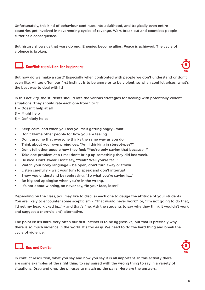Unfortunately, this kind of behaviour continues into adulthood, and tragically even entire countries get involved in neverending cycles of revenge. Wars break out and countless people suffer as a consequence.

But history shows us that wars do end. Enemies become allies. Peace is achieved. The cycle of violence is broken.

#### $\mathsf I$  Conflict resolution for beginners



But how do we make a start? Especially when confronted with people we don't understand or don't even like. All too often our first instinct is to be angry or to be violent, so when conflict arises, what's the best way to deal with it?

In this activity, the students should rate the various strategies for dealing with potentially violent situations. They should rate each one from 1 to 5:

- 1 Doesn't help at all
- 3 Might help
- 5 Definitely helps
- Keep calm, and when you feel yourself getting angry... wait.
- Don't blame other people for how you are feeling.
- Don't assume that everyone thinks the same way as you do.
- Think about your own prejudices: "Am I thinking in stereotypes?"
- Don't tell other people how they feel: "You're only saying that because..."
- Take one problem at a time: don't bring up something they did last week.
- Be nice. Don't swear. Don't say, "Yeah? Well you're fat..."
- Watch your body language be open, don't turn away or frown.
- Listen carefully wait your turn to speak and don't interrupt.
- Show you understand by rephrasing: "So what you're saying is..."
- Be big and apologise when you're in the wrong.
- It's not about winning, so never say, "In your face, loser!"

Depending on the class, you may like to discuss each one to gauge the attitude of your students. You are likely to encounter some scepticism – "That would never work!" or, "I'm not going to do that, I'd get my head kicked in..." – and that's fine. Ask the students to say why they think it wouldn't work and suggest a (non-violent) alternative.

The point is: it's hard. Very often our first instinct is to be aggressive, but that is precisely why there is so much violence in the world. It's too easy. We need to do the hard thing and break the cycle of violence.

## $\Box$  Dos and Don'ts



In conflict resolution, what you say and how you say it is all important. In this activity there are some examples of the right thing to say paired with the wrong thing to say in a variety of situations. Drag and drop the phrases to match up the pairs. Here are the answers: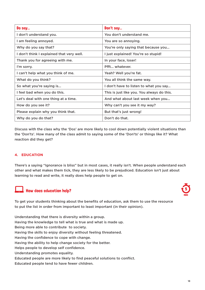| Do say                                    | Don't say                                  |
|-------------------------------------------|--------------------------------------------|
| I don't understand you.                   | You don't understand me.                   |
| I am feeling annoyed.                     | You are so annoying.                       |
| Why do you say that?                      | You're only saying that because you        |
| I don't think I explained that very well. | I just explained! You're so stupid!        |
| Thank you for agreeing with me.           | In your face, loser!                       |
| I'm sorry.                                | Pfft whatever.                             |
| I can't help what you think of me.        | Yeah? Well you're fat.                     |
| What do you think?                        | You all think the same way.                |
| So what you're saying is                  | I don't have to listen to what you say     |
| I feel bad when you do this.              | This is just like you. You always do this. |
| Let's deal with one thing at a time.      | And what about last week when you          |
| How do you see it?                        | Why can't you see it my way?               |
| Please explain why you think that.        | But that's just wrong!                     |
| Why do you do that?                       | Don't do that.                             |

Discuss with the class why the 'Dos' are more likely to cool down potentially violent situations than the 'Don'ts'. How many of the class admit to saying some of the 'Don'ts' or things like it? What reaction did they get?

#### **4. EDUCATION**

There's a saying "Ignorance is bliss" but in most cases, it really isn't. When people understand each other and what makes them tick, they are less likely to be prejudiced. Education isn't just about learning to read and write, it really does help people to get on.



To get your students thinking about the benefits of education, ask them to use the resource to put the list in order from important to least important (in their opinion).

Understanding that there is diversity within a group. Having the knowledge to tell what is true and what is made up. Being more able to contribute to society. Having the skills to enjoy diversity without feeling threatened. Having the confidence to cope with change. Having the ability to help change society for the better. Helps people to develop self confidence. Understanding promotes equality. Educated people are more likely to find peaceful solutions to conflict. Educated people tend to have fewer children.

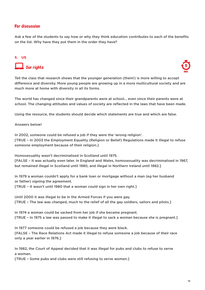#### For discussion

Ask a few of the students to say how or why they think education contributes to each of the benefits on the list. Why have they put them in the order they have?

## **5. US**  $\Box$  Our rights



Tell the class that research shows that the younger generation (them!) is more willing to accept difference and diversity. More young people are growing up in a more multicultural society and are much more at home with diversity in all its forms.

The world has changed since their grandparents were at school... even since their parents were at school. The changing attitudes and values of society are reflected in the laws that have been made.

Using the resource, the students should decide which statements are true and which are false.

#### Answers below!

In 2002, someone could be refused a job if they were the 'wrong religion'. [TRUE – In 2003 the Employment Equality (Religion or Belief) Regulations made it illegal to refuse someone employment because of their religion.]

Homosexuality wasn't decriminalised in Scotland until 1975.

[FALSE – It was actually even later. In England and Wales, homosexuality was decriminalised in 1967, but remained illegal in Scotland until 1980, and illegal in Northern Ireland until 1982.]

In 1979 a woman couldn't apply for a bank loan or mortgage without a man (eg her husband or father) signing the agreement.

[TRUE – It wasn't until 1980 that a woman could sign in her own right.]

Until 2000 it was illegal to be in the Armed Forces if you were gay. [TRUE – The law was changed, much to the relief of all the gay soldiers, sailors and pilots.]

In 1974 a woman could be sacked from her job if she became pregnant. [TRUE – In 1975 a law was passed to make it illegal to sack a woman because she is pregnant.]

In 1977 someone could be refused a job because they were black. [FALSE – The Race Relations Act made it illegal to refuse someone a job because of their race only a year earlier in 1976.]

In 1982, the Court of Appeal decided that it was illegal for pubs and clubs to refuse to serve a woman.

[TRUE – Some pubs and clubs were still refusing to serve women.]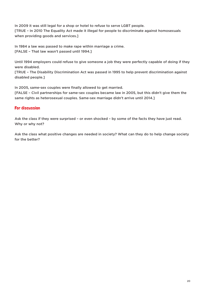In 2009 it was still legal for a shop or hotel to refuse to serve LGBT people. [TRUE – In 2010 The Equality Act made it illegal for people to discriminate against homosexuals when providing goods and services.]

In 1984 a law was passed to make rape within marriage a crime. [FALSE – That law wasn't passed until 1994.]

Until 1994 employers could refuse to give someone a job they were perfectly capable of doing if they were disabled.

[TRUE – The Disability Discrimination Act was passed in 1995 to help prevent discrimination against disabled people.]

In 2005, same-sex couples were finally allowed to get married.

[FALSE – Civil partnerships for same-sex couples became law in 2005, but this didn't give them the same rights as heterosexual couples. Same-sex marriage didn't arrive until 2014.]

#### For discussion

Ask the class if they were surprised – or even shocked – by some of the facts they have just read. Why or why not?

Ask the class what positive changes are needed in society? What can they do to help change society for the better?